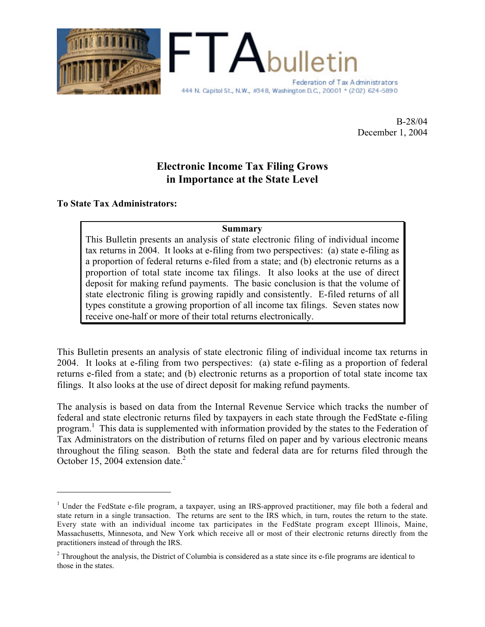

B-28/04 December 1, 2004

## **Electronic Income Tax Filing Grows in Importance at the State Level**

### **To State Tax Administrators:**

 $\overline{a}$ 

### **Summary**

This Bulletin presents an analysis of state electronic filing of individual income tax returns in 2004. It looks at e-filing from two perspectives: (a) state e-filing as a proportion of federal returns e-filed from a state; and (b) electronic returns as a proportion of total state income tax filings. It also looks at the use of direct deposit for making refund payments. The basic conclusion is that the volume of state electronic filing is growing rapidly and consistently. E-filed returns of all types constitute a growing proportion of all income tax filings. Seven states now receive one-half or more of their total returns electronically.

This Bulletin presents an analysis of state electronic filing of individual income tax returns in 2004. It looks at e-filing from two perspectives: (a) state e-filing as a proportion of federal returns e-filed from a state; and (b) electronic returns as a proportion of total state income tax filings. It also looks at the use of direct deposit for making refund payments.

The analysis is based on data from the Internal Revenue Service which tracks the number of federal and state electronic returns filed by taxpayers in each state through the FedState e-filing program.<sup>1</sup> This data is supplemented with information provided by the states to the Federation of Tax Administrators on the distribution of returns filed on paper and by various electronic means throughout the filing season. Both the state and federal data are for returns filed through the October 15, 2004 extension date.<sup>2</sup>

<sup>&</sup>lt;sup>1</sup> Under the FedState e-file program, a taxpayer, using an IRS-approved practitioner, may file both a federal and state return in a single transaction. The returns are sent to the IRS which, in turn, routes the return to the state. Every state with an individual income tax participates in the FedState program except Illinois, Maine, Massachusetts, Minnesota, and New York which receive all or most of their electronic returns directly from the practitioners instead of through the IRS.

 $2$  Throughout the analysis, the District of Columbia is considered as a state since its e-file programs are identical to those in the states.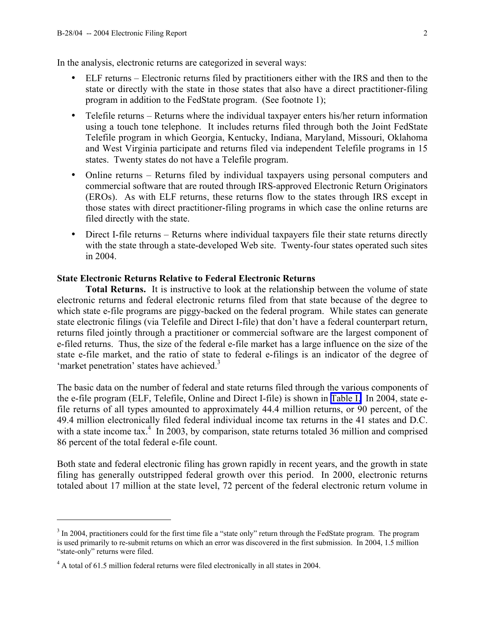In the analysis, electronic returns are categorized in several ways:

- ELF returns Electronic returns filed by practitioners either with the IRS and then to the state or directly with the state in those states that also have a direct practitioner-filing program in addition to the FedState program. (See footnote 1);
- Telefile returns Returns where the individual taxpayer enters his/her return information using a touch tone telephone. It includes returns filed through both the Joint FedState Telefile program in which Georgia, Kentucky, Indiana, Maryland, Missouri, Oklahoma and West Virginia participate and returns filed via independent Telefile programs in 15 states. Twenty states do not have a Telefile program.
- Online returns Returns filed by individual taxpayers using personal computers and commercial software that are routed through IRS-approved Electronic Return Originators (EROs). As with ELF returns, these returns flow to the states through IRS except in those states with direct practitioner-filing programs in which case the online returns are filed directly with the state.
- Direct I-file returns Returns where individual taxpayers file their state returns directly with the state through a state-developed Web site. Twenty-four states operated such sites in 2004.

#### **State Electronic Returns Relative to Federal Electronic Returns**

**Total Returns.** It is instructive to look at the relationship between the volume of state electronic returns and federal electronic returns filed from that state because of the degree to which state e-file programs are piggy-backed on the federal program. While states can generate state electronic filings (via Telefile and Direct I-file) that don't have a federal counterpart return, returns filed jointly through a practitioner or commercial software are the largest component of e-filed returns. Thus, the size of the federal e-file market has a large influence on the size of the state e-file market, and the ratio of state to federal e-filings is an indicator of the degree of 'market penetration' states have achieved.<sup>3</sup>

The basic data on the number of federal and state returns filed through the various components of the e-file program (ELF, Telefile, Online and Direct I-file) is shown in [Table I.](#page-6-0) In 2004, state efile returns of all types amounted to approximately 44.4 million returns, or 90 percent, of the 49.4 million electronically filed federal individual income tax returns in the 41 states and D.C. with a state income tax.<sup>4</sup> In 2003, by comparison, state returns totaled 36 million and comprised 86 percent of the total federal e-file count.

Both state and federal electronic filing has grown rapidly in recent years, and the growth in state filing has generally outstripped federal growth over this period. In 2000, electronic returns totaled about 17 million at the state level, 72 percent of the federal electronic return volume in

 $\overline{a}$ 

 $3 \text{ In } 2004$ , practitioners could for the first time file a "state only" return through the FedState program. The program is used primarily to re-submit returns on which an error was discovered in the first submission. In 2004, 1.5 million "state-only" returns were filed.

 $4$  A total of 61.5 million federal returns were filed electronically in all states in 2004.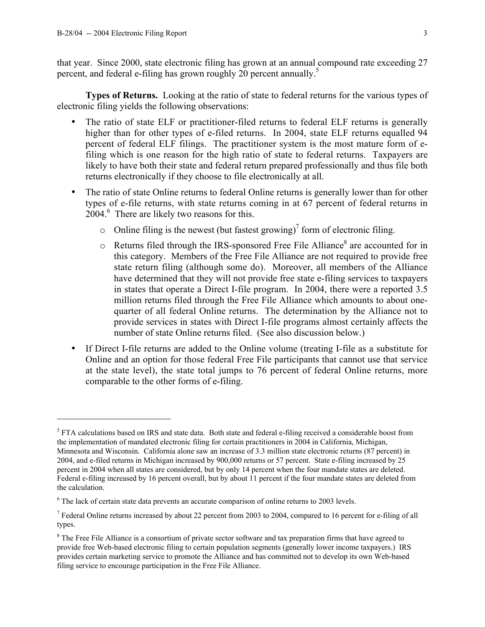$\overline{a}$ 

that year. Since 2000, state electronic filing has grown at an annual compound rate exceeding 27 percent, and federal e-filing has grown roughly 20 percent annually.<sup>5</sup>

**Types of Returns.** Looking at the ratio of state to federal returns for the various types of electronic filing yields the following observations:

- The ratio of state ELF or practitioner-filed returns to federal ELF returns is generally higher than for other types of e-filed returns. In 2004, state ELF returns equalled 94 percent of federal ELF filings. The practitioner system is the most mature form of efiling which is one reason for the high ratio of state to federal returns. Taxpayers are likely to have both their state and federal return prepared professionally and thus file both returns electronically if they choose to file electronically at all.
- The ratio of state Online returns to federal Online returns is generally lower than for other types of e-file returns, with state returns coming in at 67 percent of federal returns in  $2004<sup>6</sup>$  There are likely two reasons for this.
	- o Online filing is the newest (but fastest growing)<sup>7</sup> form of electronic filing.
	- $\circ$  Returns filed through the IRS-sponsored Free File Alliance<sup>8</sup> are accounted for in this category. Members of the Free File Alliance are not required to provide free state return filing (although some do). Moreover, all members of the Alliance have determined that they will not provide free state e-filing services to taxpayers in states that operate a Direct I-file program. In 2004, there were a reported 3.5 million returns filed through the Free File Alliance which amounts to about onequarter of all federal Online returns. The determination by the Alliance not to provide services in states with Direct I-file programs almost certainly affects the number of state Online returns filed. (See also discussion below.)
- If Direct I-file returns are added to the Online volume (treating I-file as a substitute for Online and an option for those federal Free File participants that cannot use that service at the state level), the state total jumps to 76 percent of federal Online returns, more comparable to the other forms of e-filing.

 $<sup>5</sup>$  FTA calculations based on IRS and state data. Both state and federal e-filing received a considerable boost from</sup> the implementation of mandated electronic filing for certain practitioners in 2004 in California, Michigan, Minnesota and Wisconsin. California alone saw an increase of 3.3 million state electronic returns (87 percent) in 2004, and e-filed returns in Michigan increased by 900,000 returns or 57 percent. State e-filing increased by 25 percent in 2004 when all states are considered, but by only 14 percent when the four mandate states are deleted. Federal e-filing increased by 16 percent overall, but by about 11 percent if the four mandate states are deleted from the calculation.

 $6$  The lack of certain state data prevents an accurate comparison of online returns to 2003 levels.

<sup>&</sup>lt;sup>7</sup> Federal Online returns increased by about 22 percent from 2003 to 2004, compared to 16 percent for e-filing of all types.

<sup>&</sup>lt;sup>8</sup> The Free File Alliance is a consortium of private sector software and tax preparation firms that have agreed to provide free Web-based electronic filing to certain population segments (generally lower income taxpayers.) IRS provides certain marketing service to promote the Alliance and has committed not to develop its own Web-based filing service to encourage participation in the Free File Alliance.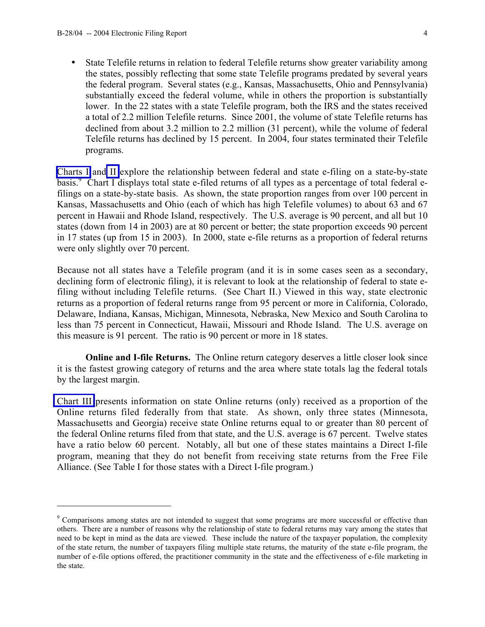$\overline{a}$ 

• State Telefile returns in relation to federal Telefile returns show greater variability among the states, possibly reflecting that some state Telefile programs predated by several years the federal program. Several states (e.g., Kansas, Massachusetts, Ohio and Pennsylvania) substantially exceed the federal volume, while in others the proportion is substantially lower. In the 22 states with a state Telefile program, both the IRS and the states received a total of 2.2 million Telefile returns. Since 2001, the volume of state Telefile returns has declined from about 3.2 million to 2.2 million (31 percent), while the volume of federal Telefile returns has declined by 15 percent. In 2004, four states terminated their Telefile programs.

[Charts I](#page-7-0) and [II](#page-8-0) explore the relationship between federal and state e-filing on a state-by-state basis.<sup>9</sup> Chart I displays total state e-filed returns of all types as a percentage of total federal efilings on a state-by-state basis. As shown, the state proportion ranges from over 100 percent in Kansas, Massachusetts and Ohio (each of which has high Telefile volumes) to about 63 and 67 percent in Hawaii and Rhode Island, respectively. The U.S. average is 90 percent, and all but 10 states (down from 14 in 2003) are at 80 percent or better; the state proportion exceeds 90 percent in 17 states (up from 15 in 2003). In 2000, state e-file returns as a proportion of federal returns were only slightly over 70 percent.

Because not all states have a Telefile program (and it is in some cases seen as a secondary, declining form of electronic filing), it is relevant to look at the relationship of federal to state efiling without including Telefile returns. (See Chart II.) Viewed in this way, state electronic returns as a proportion of federal returns range from 95 percent or more in California, Colorado, Delaware, Indiana, Kansas, Michigan, Minnesota, Nebraska, New Mexico and South Carolina to less than 75 percent in Connecticut, Hawaii, Missouri and Rhode Island. The U.S. average on this measure is 91 percent. The ratio is 90 percent or more in 18 states.

**Online and I-file Returns.** The Online return category deserves a little closer look since it is the fastest growing category of returns and the area where state totals lag the federal totals by the largest margin.

[Chart III](#page-9-0) presents information on state Online returns (only) received as a proportion of the Online returns filed federally from that state. As shown, only three states (Minnesota, Massachusetts and Georgia) receive state Online returns equal to or greater than 80 percent of the federal Online returns filed from that state, and the U.S. average is 67 percent. Twelve states have a ratio below 60 percent. Notably, all but one of these states maintains a Direct I-file program, meaning that they do not benefit from receiving state returns from the Free File Alliance. (See Table I for those states with a Direct I-file program.)

<sup>9</sup> Comparisons among states are not intended to suggest that some programs are more successful or effective than others. There are a number of reasons why the relationship of state to federal returns may vary among the states that need to be kept in mind as the data are viewed. These include the nature of the taxpayer population, the complexity of the state return, the number of taxpayers filing multiple state returns, the maturity of the state e-file program, the number of e-file options offered, the practitioner community in the state and the effectiveness of e-file marketing in the state.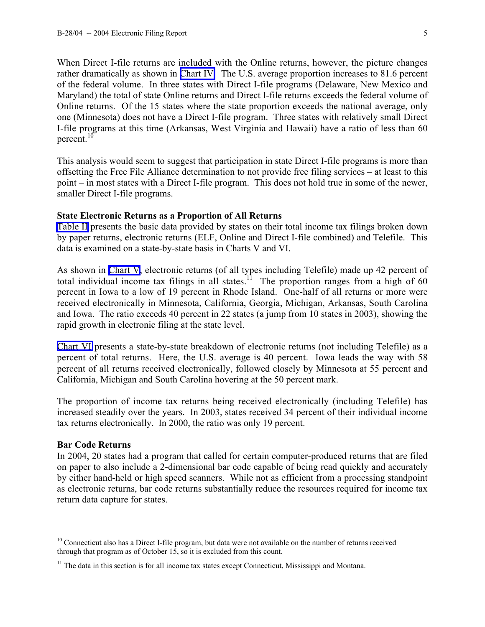When Direct I-file returns are included with the Online returns, however, the picture changes rather dramatically as shown in [Chart IV.](#page-10-0) The U.S. average proportion increases to 81.6 percent of the federal volume. In three states with Direct I-file programs (Delaware, New Mexico and Maryland) the total of state Online returns and Direct I-file returns exceeds the federal volume of Online returns. Of the 15 states where the state proportion exceeds the national average, only one (Minnesota) does not have a Direct I-file program. Three states with relatively small Direct I-file programs at this time (Arkansas, West Virginia and Hawaii) have a ratio of less than 60 percent.<sup>10</sup>

This analysis would seem to suggest that participation in state Direct I-file programs is more than offsetting the Free File Alliance determination to not provide free filing services – at least to this point – in most states with a Direct I-file program. This does not hold true in some of the newer, smaller Direct I-file programs.

#### **State Electronic Returns as a Proportion of All Returns**

[Table II](#page-11-0) presents the basic data provided by states on their total income tax filings broken down by paper returns, electronic returns (ELF, Online and Direct I-file combined) and Telefile. This data is examined on a state-by-state basis in Charts V and VI.

As shown in [Chart V](#page-12-0), electronic returns (of all types including Telefile) made up 42 percent of total individual income tax filings in all states.<sup>11</sup> The proportion ranges from a high of 60 percent in Iowa to a low of 19 percent in Rhode Island. One-half of all returns or more were received electronically in Minnesota, California, Georgia, Michigan, Arkansas, South Carolina and Iowa. The ratio exceeds 40 percent in 22 states (a jump from 10 states in 2003), showing the rapid growth in electronic filing at the state level.

[Chart VI](#page-13-0) presents a state-by-state breakdown of electronic returns (not including Telefile) as a percent of total returns. Here, the U.S. average is 40 percent. Iowa leads the way with 58 percent of all returns received electronically, followed closely by Minnesota at 55 percent and California, Michigan and South Carolina hovering at the 50 percent mark.

The proportion of income tax returns being received electronically (including Telefile) has increased steadily over the years. In 2003, states received 34 percent of their individual income tax returns electronically. In 2000, the ratio was only 19 percent.

#### **Bar Code Returns**

 $\overline{a}$ 

In 2004, 20 states had a program that called for certain computer-produced returns that are filed on paper to also include a 2-dimensional bar code capable of being read quickly and accurately by either hand-held or high speed scanners. While not as efficient from a processing standpoint as electronic returns, bar code returns substantially reduce the resources required for income tax return data capture for states.

<sup>&</sup>lt;sup>10</sup> Connecticut also has a Direct I-file program, but data were not available on the number of returns received through that program as of October 15, so it is excluded from this count.

 $11$  The data in this section is for all income tax states except Connecticut, Mississippi and Montana.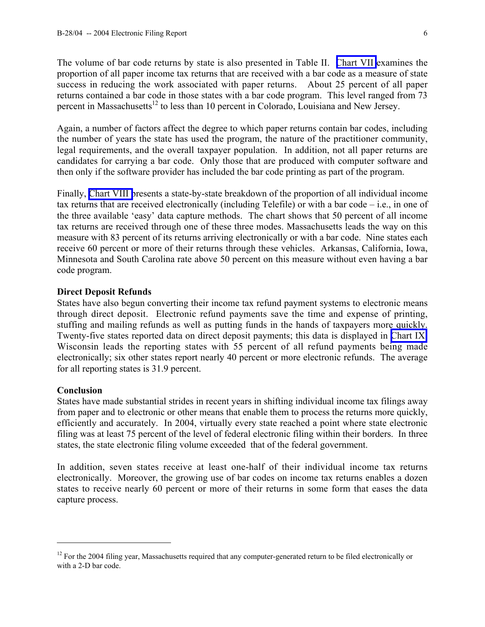The volume of bar code returns by state is also presented in Table II. [Chart VII](#page-14-0) examines the proportion of all paper income tax returns that are received with a bar code as a measure of state success in reducing the work associated with paper returns. About 25 percent of all paper returns contained a bar code in those states with a bar code program. This level ranged from 73 percent in Massachusetts<sup>12</sup> to less than 10 percent in Colorado, Louisiana and New Jersey.

Again, a number of factors affect the degree to which paper returns contain bar codes, including the number of years the state has used the program, the nature of the practitioner community, legal requirements, and the overall taxpayer population. In addition, not all paper returns are candidates for carrying a bar code. Only those that are produced with computer software and then only if the software provider has included the bar code printing as part of the program.

Finally, [Chart VIII p](#page-15-0)resents a state-by-state breakdown of the proportion of all individual income tax returns that are received electronically (including Telefile) or with a bar code – i.e., in one of the three available 'easy' data capture methods. The chart shows that 50 percent of all income tax returns are received through one of these three modes. Massachusetts leads the way on this measure with 83 percent of its returns arriving electronically or with a bar code. Nine states each receive 60 percent or more of their returns through these vehicles. Arkansas, California, Iowa, Minnesota and South Carolina rate above 50 percent on this measure without even having a bar code program.

#### **Direct Deposit Refunds**

States have also begun converting their income tax refund payment systems to electronic means through direct deposit. Electronic refund payments save the time and expense of printing, stuffing and mailing refunds as well as putting funds in the hands of taxpayers more quickly. Twenty-five states reported data on direct deposit payments; this data is displayed in [Chart IX.](#page-16-0) Wisconsin leads the reporting states with 55 percent of all refund payments being made electronically; six other states report nearly 40 percent or more electronic refunds. The average for all reporting states is 31.9 percent.

#### **Conclusion**

 $\overline{a}$ 

States have made substantial strides in recent years in shifting individual income tax filings away from paper and to electronic or other means that enable them to process the returns more quickly, efficiently and accurately. In 2004, virtually every state reached a point where state electronic filing was at least 75 percent of the level of federal electronic filing within their borders. In three states, the state electronic filing volume exceeded that of the federal government.

In addition, seven states receive at least one-half of their individual income tax returns electronically. Moreover, the growing use of bar codes on income tax returns enables a dozen states to receive nearly 60 percent or more of their returns in some form that eases the data capture process.

<sup>&</sup>lt;sup>12</sup> For the 2004 filing year, Massachusetts required that any computer-generated return to be filed electronically or with a 2-D bar code.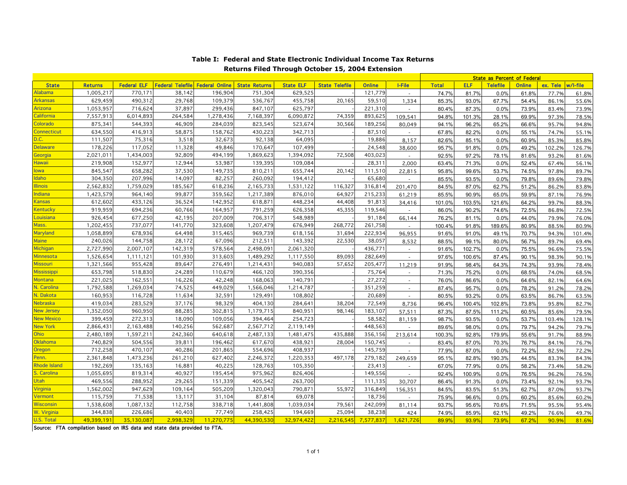<span id="page-6-0"></span>

|                     |                |                    |                         |                       |                      |                  |                       |               |                | <b>State as Percent of Federal</b> |            |                 |               |                   |        |
|---------------------|----------------|--------------------|-------------------------|-----------------------|----------------------|------------------|-----------------------|---------------|----------------|------------------------------------|------------|-----------------|---------------|-------------------|--------|
| <b>State</b>        | <b>Returns</b> | <b>Federal ELF</b> | <b>Federal Telefile</b> | <b>Federal Online</b> | <b>State Returns</b> | <b>State ELF</b> | <b>State Telefile</b> | <b>Online</b> | I-File         | <b>Total</b>                       | <b>ELF</b> | <b>Telefile</b> | <b>Online</b> | ex. Tele w/l-file |        |
| Alabama             | 1,005,217      | 770.171            | 38,142                  | 196,904               | 751,304              | 629,525          |                       | 121.779       |                | 74.7%                              | 81.7%      | 0.0%            | 61.8%         | 77.7%             | 61.8%  |
| <b>Arkansas</b>     | 629,459        | 490,312            | 29,768                  | 109,379               | 536,767              | 455,758          | 20,165                | 59,510        | 1,334          | 85.3%                              | 93.0%      | 67.7%           | 54.4%         | 86.1%             | 55.6%  |
| Arizona             | 1,053,957      | 716,624            | 37,897                  | 299,436               | 847,107              | 625,797          |                       | 221,310       |                | 80.4%                              | 87.3%      | 0.0%            | 73.9%         | 83.4%             | 73.9%  |
| California          | 7,557,913      | 6,014,893          | 264,584                 | 1,278,436             | 7,168,397            | 6,090,872        | 74,359                | 893,625       | 109,541        | 94.8%                              | 101.3%     | 28.1%           | 69.9%         | 97.3%             | 78.5%  |
| Colorado            | 875,341        | 544,393            | 46,909                  | 284,039               | 823,545              | 523,674          | 30,566                | 189,256       | 80,049         | 94.1%                              | 96.2%      | 65.2%           | 66.6%         | 95.7%             | 94.8%  |
| <b>Connecticut</b>  | 634,550        | 416,913            | 58,875                  | 158,762               | 430,223              | 342,713          |                       | 87,510        |                | 67.8%                              | 82.2%      | 0.0%            | 55.1%         | 74.7%             | 55.1%  |
| D.C.                | 111,507        | 75,316             | 3,518                   | 32,673                | 92,138               | 64,095           |                       | 19,886        | 8.157          | 82.6%                              | 85.1%      | 0.0%            | 60.9%         | 85.3%             | 85.8%  |
| <b>Delaware</b>     | 178,226        | 117,052            | 11,328                  | 49,846                | 170,647              | 107,499          |                       | 24,548        | 38,600         | 95.7%                              | 91.8%      | 0.0%            | 49.2%         | 102.2%            | 126.7% |
| Georgia             | 2,021,011      | 1,434,003          | 92,809                  | 494,199               | 1,869,623            | 1,394,092        | 72,508                | 403,023       |                | 92.5%                              | 97.2%      | 78.1%           | 81.6%         | 93.2%             | 81.6%  |
| Hawaii              | 219,908        | 152,977            | 12,944                  | 53,987                | 139,395              | 109,084          |                       | 28,311        | 2,000          | 63.4%                              | 71.3%      | 0.0%            | 52.4%         | 67.4%             | 56.1%  |
| lowa                | 845,547        | 658,282            | 37,530                  | 149,735               | 810,211              | 655,744          | 20,142                | 111,510       | 22,815         | 95.8%                              | 99.6%      | 53.7%           | 74.5%         | 97.8%             | 89.7%  |
| Idaho               | 304,350        | 207,996            | 14,097                  | 82,257                | 260,092              | 194,412          |                       | 65,680        |                | 85.5%                              | 93.5%      | 0.0%            | 79.8%         | 89.6%             | 79.8%  |
| <b>Illinois</b>     | 2,562,832      | 1,759,029          | 185,567                 | 618,236               | 2,165,733            | 1,531,122        | 116,327               | 316,814       | 201,470        | 84.5%                              | 87.0%      | 62.7%           | 51.2%         | 86.2%             | 83.8%  |
| Indiana             | 1,423,579      | 964,140            | 99,877                  | 359,562               | 1,217,389            | 876,010          | 64,927                | 215,233       | 61,219         | 85.5%                              | 90.9%      | 65.0%           | 59.9%         | 87.1%             | 76.9%  |
| <b>Kansas</b>       | 612,602        | 433,126            | 36,524                  | 142,952               | 618,871              | 448,234          | 44,408                | 91,813        | 34,416         | 101.0%                             | 103.5%     | 121.6%          | 64.2%         | 99.7%             | 88.3%  |
| Kentucky            | 919,959        | 694,236            | 60,766                  | 164,957               | 791,259              | 626,358          | 45,355                | 119,546       |                | 86.0%                              | 90.2%      | 74.6%           | 72.5%         | 86.8%             | 72.5%  |
| Louisiana           | 926,454        | 677,250            | 42,195                  | 207,009               | 706,317              | 548,989          |                       | 91,184        | 66,144         | 76.2%                              | 81.1%      | 0.0%            | 44.0%         | 79.9%             | 76.0%  |
| Mass.               | 1,202,455      | 737,077            | 141,770                 | 323,608               | 1,207,479            | 676,949          | 268,772               | 261,758       |                | 100.4%                             | 91.8%      | 189.6%          | 80.9%         | 88.5%             | 80.9%  |
| Maryland            | 1,058,899      | 678,936            | 64,498                  | 315,465               | 969,739              | 618,156          | 31,694                | 222,934       | 96.955         | 91.6%                              | 91.0%      | 49.1%           | 70.7%         | 94.3%             | 101.4% |
| <b>Maine</b>        | 240,026        | 144,758            | 28,172                  | 67,096                | 212,511              | 143,392          | 22,530                | 38,057        | 8,532          | 88.5%                              | 99.1%      | 80.0%           | 56.7%         | 89.7%             | 69.4%  |
| Michigan            | 2,727,990      | 2,007,107          | 142,319                 | 578,564               | 2,498,091            | 2,061,320        |                       | 436,771       | $\blacksquare$ | 91.6%                              | 102.7%     | 0.0%            | 75.5%         | 96.6%             | 75.5%  |
| Minnesota           | 1,526,654      | 1.111.121          | 101,930                 | 313,603               | 1,489,292            | 1,117,550        | 89,093                | 282,649       | $\sim$         | 97.6%                              | 100.6%     | 87.4%           | 90.1%         | 98.3%             | 90.1%  |
| <b>Missouri</b>     | 1,321,566      | 955,428            | 89,647                  | 276,491               | 1,214,431            | 940,083          | 57,652                | 205,477       | 11,219         | 91.9%                              | 98.4%      | 64.3%           | 74.3%         | 93.9%             | 78.4%  |
| <b>Mississippi</b>  | 653,798        | 518,830            | 24,289                  | 110,679               | 466,120              | 390,356          |                       | 75,764        |                | 71.3%                              | 75.2%      | 0.0%            | 68.5%         | 74.0%             | 68.5%  |
| <b>Montana</b>      | 221,025        | 162,551            | 16,226                  | 42,248                | 168,063              | 140,791          |                       | 27,272        | $\sim$         | 76.0%                              | 86.6%      | 0.0%            | 64.6%         | 82.1%             | 64.6%  |
| N. Carolina         | 1,792,588      | 1,269,034          | 74,525                  | 449,029               | 1,566,046            | 1,214,787        |                       | 351,259       | $\sim$         | 87.4%                              | 95.7%      | 0.0%            | 78.2%         | 91.2%             | 78.2%  |
| N. Dakota           | 160,953        | 116,728            | 11,634                  | 32,591                | 129,491              | 108,802          |                       | 20,689        |                | 80.5%                              | 93.2%      | 0.0%            | 63.5%         | 86.7%             | 63.5%  |
| <b>Nebraska</b>     | 419,034        | 283,529            | 37,176                  | 98,329                | 404,130              | 284,641          | 38,204                | 72,549        | 8,736          | 96.4%                              | 100.4%     | 102.8%          | 73.8%         | 95.8%             | 82.7%  |
| <b>New Jersey</b>   | 1,352,050      | 960,950            | 88,285                  | 302,815               | 1,179,715            | 840,951          | 98,146                | 183,107       | 57,511         | 87.3%                              | 87.5%      | 111.2%          | 60.5%         | 85.6%             | 79.5%  |
| <b>New Mexico</b>   | 399,459        | 272,313            | 18,090                  | 109,056               | 394,464              | 254,723          |                       | 58,582        | 81,159         | 98.7%                              | 93.5%      | 0.0%            | 53.7%         | 103.4%            | 128.1% |
| <b>New York</b>     | 2,866,431      | 2,163,488          | 140,256                 | 562,687               | 2,567,712            | 2,119,149        |                       | 448,563       |                | 89.6%                              | 98.0%      | 0.0%            | 79.7%         | 94.2%             | 79.7%  |
| <b>Ohio</b>         | 2,480,189      | 1,597,211          | 242,360                 | 640,618               | 2,487,133            | 1,481,475        | 435,888               | 356,156       | 213,614        | 100.3%                             | 92.8%      | 179.9%          | 55.6%         | 91.7%             | 88.9%  |
| Oklahoma            | 740,829        | 504,556            | 39,81                   | 196,462               | 617,670              | 438,921          | 28,004                | 150,745       |                | 83.4%                              | 87.0%      | 70.3%           | 76.7%         | 84.1%             | 76.7%  |
| Oregon              | 712,258        | 470,107            | 40,286                  | 201,865               | 554,696              | 408,937          |                       | 145,759       |                | 77.9%                              | 87.0%      | 0.0%            | 72.2%         | 82.5%             | 72.2%  |
| Penn.               | 2,361,848      | 1,473,236          | 261,210                 | 627,402               | 2,246,372            | 1,220,353        | 497,178               | 279,182       | 249,659        | 95.1%                              | 82.8%      | 190.3%          | 44.5%         | 83.3%             | 84.3%  |
| <b>Rhode Island</b> | 192,269        | 135,163            | 16,88                   | 40,225                | 128,763              | 105,350          |                       | 23,413        |                | 67.0%                              | 77.9%      | 0.0%            | 58.2%         | 73.4%             | 58.2%  |
| S. Carolina         | 1,055,695      | 819,314            | 40,927                  | 195,454               | 975,962              | 826,406          |                       | 149,556       | $\sim$         | 92.4%                              | 100.9%     | 0.0%            | 76.5%         | 96.2%             | 76.5%  |
| Utah                | 469,556        | 288,952            | 29,265                  | 151,339               | 405,542              | 263,700          |                       | 111,135       | 30,707         | 86.4%                              | 91.3%      | 0.0%            | 73.4%         | 92.1%             | 93.7%  |
| <b>Virginia</b>     | 1,562,002      | 947,629            | 109,164                 | 505,209               | 1,320,043            | 790,871          | 55,972                | 316,849       | 156,351        | 84.5%                              | 83.5%      | 51.3%           | 62.7%         | 87.0%             | 93.7%  |
| Vermont             | 115,759        | 71,538             | 13,117                  | 31,104                | 87,814               | 69,078           |                       | 18,736        |                | 75.9%                              | 96.6%      | 0.0%            | 60.2%         | 85.6%             | 60.2%  |
| Wisconsin           | 1,538,608      | 1,087,132          | 112,758                 | 338,718               | 1,441,808            | 1,039,034        | 79,56                 | 242,099       | 81,114         | 93.7%                              | 95.6%      | 70.6%           | 71.5%         | 95.5%             | 95.4%  |
| W. Virginia         | 344,838        | 226,686            | 40,403                  | 77,749                | 258,425              | 194,669          | 25,094                | 38,238        | 424            | 74.9%                              | 85.9%      | 62.1%           | 49.2%         | 76.6%             | 49.7%  |
| U.S. Total          | 49,399,191     | 35,130,087         | 2,998,329               | 11,270,775            | 44,390,530           | 32,974,422       | 2,216,545             | 7,577,837     | 1,621,726      | 89.9%                              | 93.9%      | 73.9%           | 67.2%         | 90.9%             | 81.6%  |

#### **Returns Filed Through October 15, 2004 Extension Table I: Federal and State Electronic Individual Income Tax Returns**

Source: FTA compilation based on IRS data and state data provided to FTA.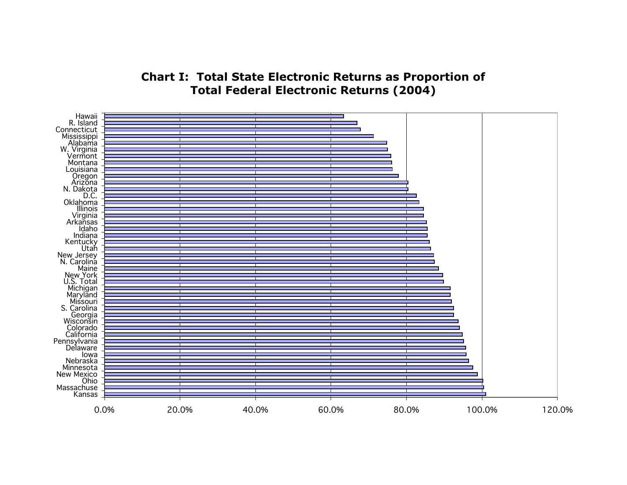## **Chart I: Total State Electronic Returns as Proportion of Total Federal Electronic Returns (2004)**

<span id="page-7-0"></span>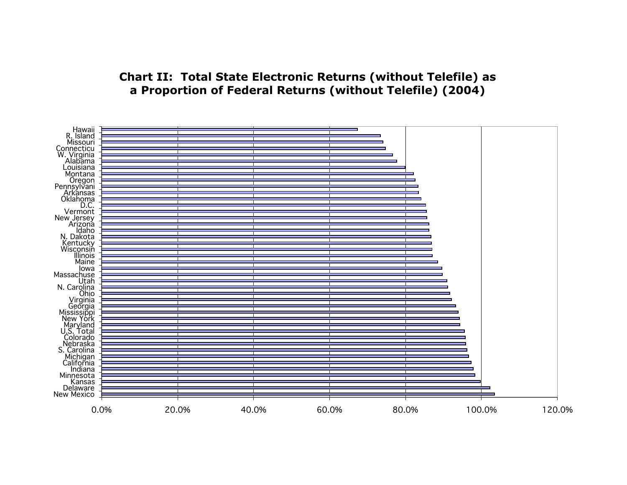### **Chart II: Total State Electronic Returns (without Telefile) as a Proportion of Federal Returns (without Telefile) (2004)**

<span id="page-8-0"></span>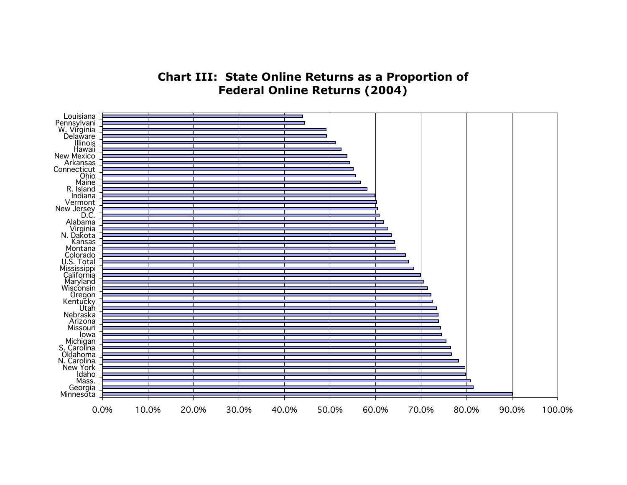## **Chart III: State Online Returns as a Proportion of Federal Online Returns (2004)**

<span id="page-9-0"></span>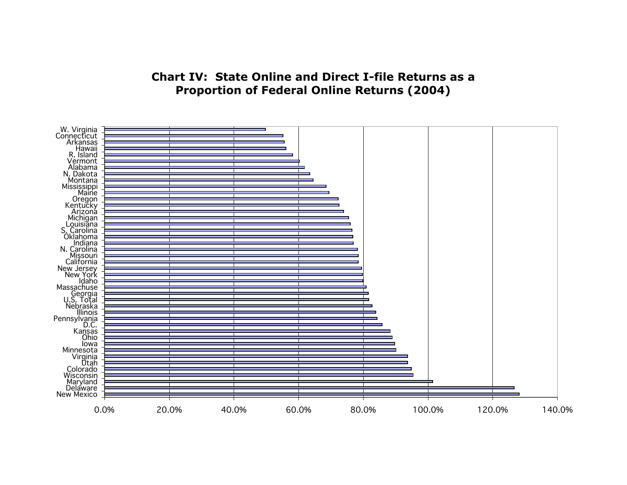# **Chart IV: State Online and Direct I-file Returns as a Proportion of Federal Online Returns (2004)**

<span id="page-10-0"></span>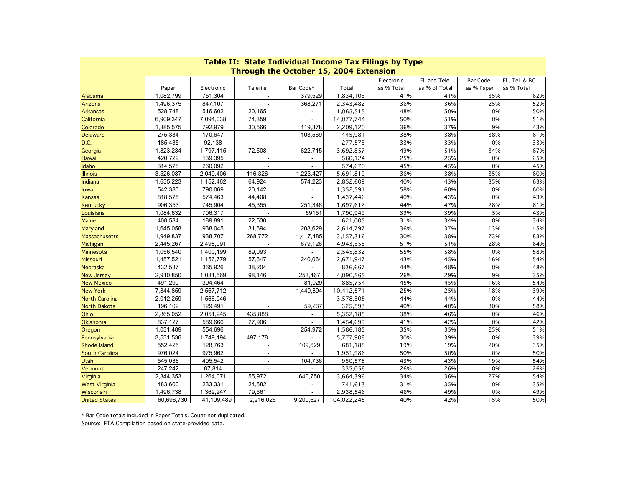<span id="page-11-0"></span>

| <u>rable II: State Individual Income Tax Filligs by Type</u><br><b>Through the October 15, 2004 Extension</b> |            |             |                          |                |             |            |               |            |                |  |  |  |
|---------------------------------------------------------------------------------------------------------------|------------|-------------|--------------------------|----------------|-------------|------------|---------------|------------|----------------|--|--|--|
|                                                                                                               |            |             |                          |                |             | Electronic | El. and Tele. | Bar Code   | El., Tel. & BC |  |  |  |
|                                                                                                               | Paper      | Electronic  | Telefile                 | Bar Code*      | Total       | as % Total | as % of Total | as % Paper | as % Total     |  |  |  |
| Alabama                                                                                                       | 1,082,799  | 751,304     |                          | 379,529        | 1,834,103   | 41%        | 41%           | 35%        | 62%            |  |  |  |
| Arizona                                                                                                       | 1,496,375  | 847,107     |                          | 368.271        | 2,343,482   | 36%        | 36%           | 25%        | 52%            |  |  |  |
| <b>Arkansas</b>                                                                                               | 528,748    | 516,602     | 20,165                   | $\blacksquare$ | 1,065,515   | 48%        | 50%           | 0%         | 50%            |  |  |  |
| California                                                                                                    | 6,909,347  | 7,094,038   | 74,359                   | $\sim$         | 14,077,744  | 50%        | 51%           | 0%         | 51%            |  |  |  |
| Colorado                                                                                                      | 1,385,575  | 792,979     | 30,566                   | 119,378        | 2,209,120   | 36%        | 37%           | 9%         | 43%            |  |  |  |
| <b>Delaware</b>                                                                                               | 275,334    | 170,647     | $\omega$                 | 103,569        | 445,981     | 38%        | 38%           | 38%        | 61%            |  |  |  |
| D.C.                                                                                                          | 185,435    | 92,138      | ä,                       |                | 277,573     | 33%        | 33%           | 0%         | 33%            |  |  |  |
| Georgia                                                                                                       | 1,823,234  | 1,797,115   | 72,508                   | 622,715        | 3,692,857   | 49%        | 51%           | 34%        | 67%            |  |  |  |
| Hawaii                                                                                                        | 420,729    | 139,395     |                          |                | 560,124     | 25%        | 25%           | 0%         | 25%            |  |  |  |
| Idaho                                                                                                         | 314,578    | 260,092     | $\blacksquare$           | $\blacksquare$ | 574,670     | 45%        | 45%           | 0%         | 45%            |  |  |  |
| <b>Illinois</b>                                                                                               | 3,526,087  | 2,049,406   | 116,326                  | 1,223,427      | 5,691,819   | 36%        | 38%           | 35%        | 60%            |  |  |  |
| Indiana                                                                                                       | 1,635,223  | 1, 152, 462 | 64,924                   | 574,223        | 2,852,609   | 40%        | 43%           | 35%        | 63%            |  |  |  |
| lowa                                                                                                          | 542,380    | 790,069     | 20,142                   |                | 1,352,591   | 58%        | 60%           | 0%         | 60%            |  |  |  |
| <b>Kansas</b>                                                                                                 | 818,575    | 574,463     | 44,408                   | $\sim$         | 1,437,446   | 40%        | 43%           | 0%         | 43%            |  |  |  |
| Kentucky                                                                                                      | 906,353    | 745,904     | 45,355                   | 251,346        | 1,697,612   | 44%        | 47%           | 28%        | 61%            |  |  |  |
| Louisiana                                                                                                     | 1,084,632  | 706,317     |                          | 59151          | 1,790,949   | 39%        | 39%           | 5%         | 43%            |  |  |  |
| <b>Maine</b>                                                                                                  | 408,584    | 189,891     | 22,530                   | $\blacksquare$ | 621,005     | 31%        | 34%           | 0%         | 34%            |  |  |  |
| Maryland                                                                                                      | 1,645,058  | 938,045     | 31,694                   | 208,629        | 2,614,797   | 36%        | 37%           | 13%        | 45%            |  |  |  |
| Massachusetts                                                                                                 | 1,949,837  | 938,707     | 268,772                  | 1,417,485      | 3,157,316   | 30%        | 38%           | 73%        | 83%            |  |  |  |
| Michigan                                                                                                      | 2,445,267  | 2,498,091   |                          | 679,126        | 4,943,358   | 51%        | 51%           | 28%        | 64%            |  |  |  |
| Minnesota                                                                                                     | 1,056,540  | 1,400,199   | 89,093                   |                | 2,545,832   | 55%        | 58%           | 0%         | 58%            |  |  |  |
| <b>Missouri</b>                                                                                               | 1,457,521  | 1,156,779   | 57,647                   | 240,064        | 2,671,947   | 43%        | 45%           | 16%        | 54%            |  |  |  |
| Nebraska                                                                                                      | 432,537    | 365,926     | 38.204                   |                | 836,667     | 44%        | 48%           | 0%         | 48%            |  |  |  |
| <b>New Jersey</b>                                                                                             | 2,910,850  | 1,081,569   | 98,146                   | 253,467        | 4,090,565   | 26%        | 29%           | 9%         | 35%            |  |  |  |
| <b>New Mexico</b>                                                                                             | 491,290    | 394,464     | $\overline{\phantom{a}}$ | 81,029         | 885,754     | 45%        | 45%           | 16%        | 54%            |  |  |  |
| <b>New York</b>                                                                                               | 7,844,859  | 2,567,712   |                          | 1,449,894      | 10,412,571  | 25%        | 25%           | 18%        | 39%            |  |  |  |
| <b>North Carolina</b>                                                                                         | 2,012,259  | 1,566,046   | $\overline{a}$           | $\sim$         | 3,578,305   | 44%        | 44%           | 0%         | 44%            |  |  |  |
| North Dakota                                                                                                  | 196,102    | 129,491     | $\overline{\phantom{a}}$ | 59,237         | 325,593     | 40%        | 40%           | 30%        | 58%            |  |  |  |
| Ohio                                                                                                          | 2,865,052  | 2,051,245   | 435,888                  | ÷.             | 5,352,185   | 38%        | 46%           | 0%         | 46%            |  |  |  |
| Oklahoma                                                                                                      | 837,127    | 589,666     | 27,906                   |                | 1,454,699   | 41%        | 42%           | 0%         | 42%            |  |  |  |
| Oregon                                                                                                        | 1,031,489  | 554,696     | $\blacksquare$           | 254,972        | 1,586,185   | 35%        | 35%           | 25%        | 51%            |  |  |  |
| Pennsylvania                                                                                                  | 3,531,536  | 1,749,194   | 497,178                  |                | 5,777,908   | 30%        | 39%           | 0%         | 39%            |  |  |  |
| <b>Rhode Island</b>                                                                                           | 552,425    | 128,763     | ÷.                       | 109.629        | 681,188     | 19%        | 19%           | 20%        | 35%            |  |  |  |
| South Carolina                                                                                                | 976,024    | 975,962     | ÷.                       |                | 1,951,986   | 50%        | 50%           | 0%         | 50%            |  |  |  |
| Utah                                                                                                          | 545,036    | 405,542     | $\overline{\phantom{a}}$ | 104,736        | 950,578     | 43%        | 43%           | 19%        | 54%            |  |  |  |
| Vermont                                                                                                       | 247,242    | 87,814      |                          |                | 335,056     | 26%        | 26%           | 0%         | 26%            |  |  |  |
| <b>Virginia</b>                                                                                               | 2,344,353  | 1,264,071   | 55,972                   | 640,750        | 3,664,396   | 34%        | 36%           | 27%        | 54%            |  |  |  |
| <b>West Virginia</b>                                                                                          | 483,600    | 233,331     | 24,682                   | $\blacksquare$ | 741,613     | 31%        | 35%           | 0%         | 35%            |  |  |  |
| Wisconsin                                                                                                     | 1,496,738  | 1,362,247   | 79,561                   |                | 2,938,546   | 46%        | 49%           | 0%         | 49%            |  |  |  |
| <b>United States</b>                                                                                          | 60,696,730 | 41,109,489  | 2,216,026                | 9,200,627      | 104,022,245 | 40%        | 42%           | 15%        | 50%            |  |  |  |

**Table II: State Individual Income Tax Filings by Type**

\* Bar Code totals included in Paper Totals. Count not duplicated.

Source: FTA Compilation based on state-provided data.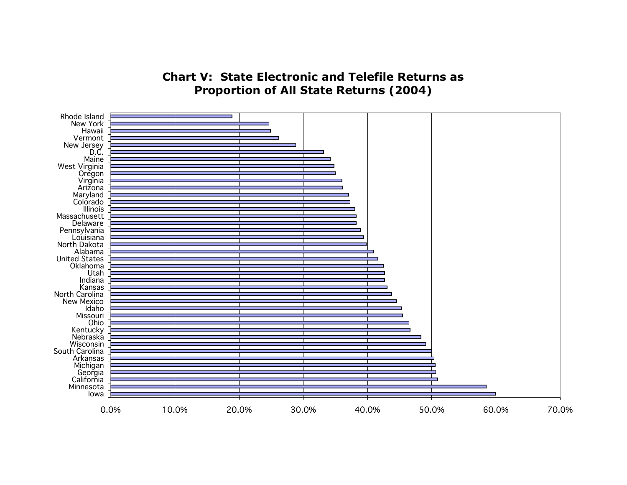# **Chart V: State Electronic and Telefile Returns as Proportion of All State Returns (2004)**

<span id="page-12-0"></span>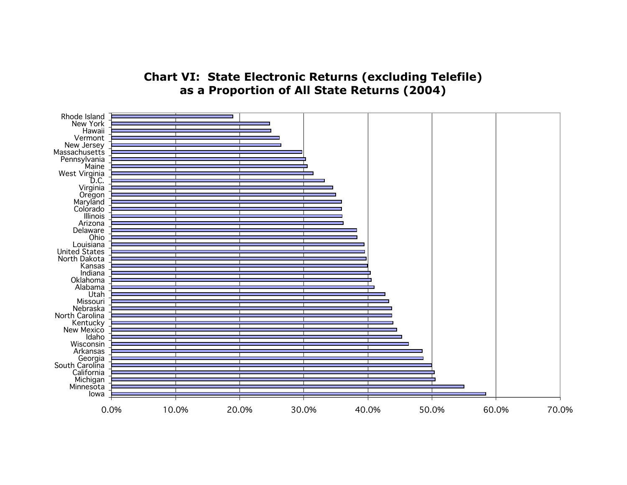## **Chart VI: State Electronic Returns (excluding Telefile) as a Proportion of All State Returns (2004)**

<span id="page-13-0"></span>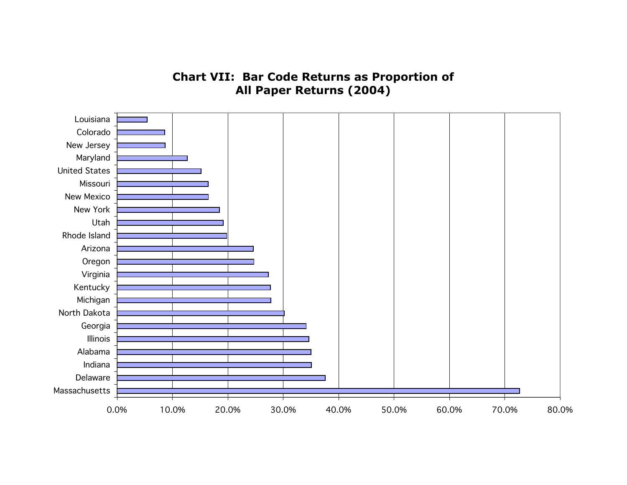# **Chart VII: Bar Code Returns as Proportion of All Paper Returns (2004)**

<span id="page-14-0"></span>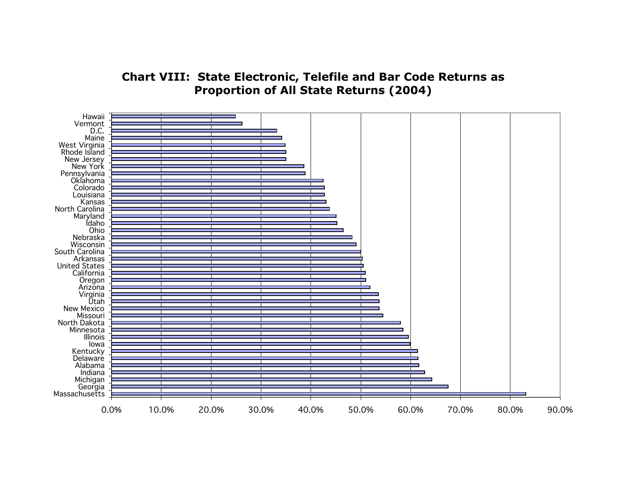## **Chart VIII: State Electronic, Telefile and Bar Code Returns as Proportion of All State Returns (2004)**

<span id="page-15-0"></span>